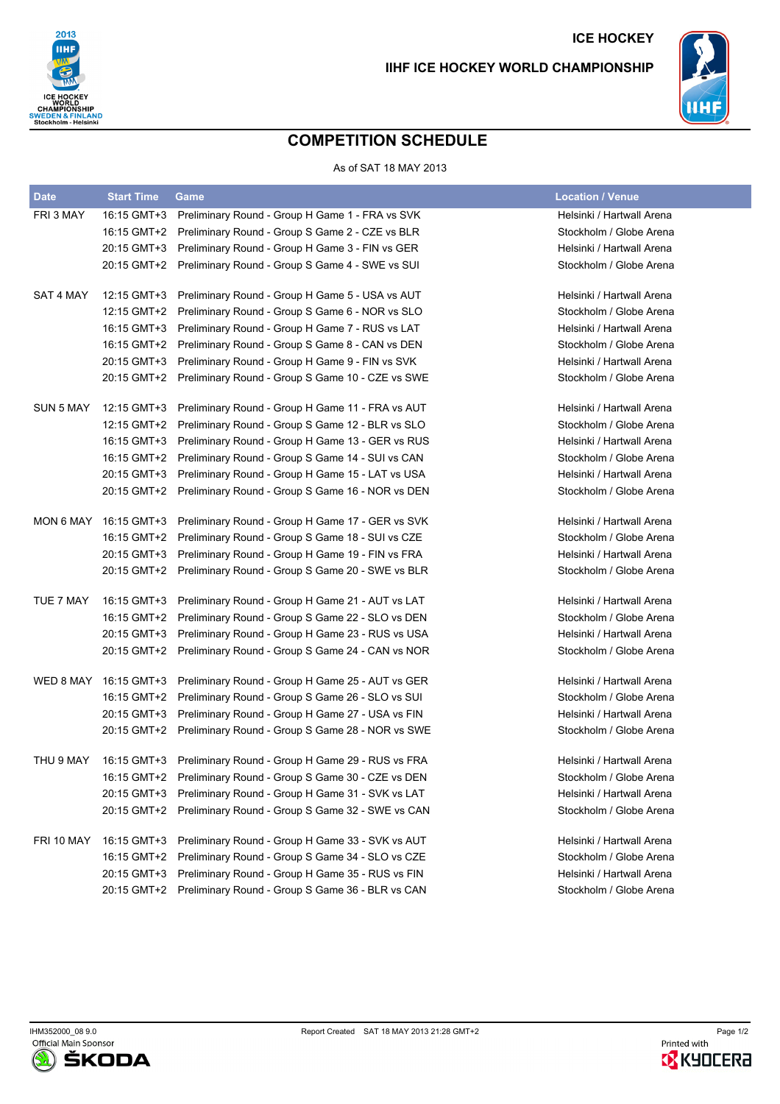

## **ICE HOCKEY IIHF ICE HOCKEY WORLD CHAMPIONSHIP**



## **COMPETITION SCHEDULE**

## As of SAT 18 MAY 2013

| <b>Date</b> | <b>Start Time</b> | Game                                                         | <b>Location / Venue</b>   |
|-------------|-------------------|--------------------------------------------------------------|---------------------------|
| FRI 3 MAY   | 16:15 GMT+3       | Preliminary Round - Group H Game 1 - FRA vs SVK              | Helsinki / Hartwall Arena |
|             | 16:15 GMT+2       | Preliminary Round - Group S Game 2 - CZE vs BLR              | Stockholm / Globe Arena   |
|             | 20:15 GMT+3       | Preliminary Round - Group H Game 3 - FIN vs GER              | Helsinki / Hartwall Arena |
|             | 20:15 GMT+2       | Preliminary Round - Group S Game 4 - SWE vs SUI              | Stockholm / Globe Arena   |
| SAT 4 MAY   | 12:15 GMT+3       | Preliminary Round - Group H Game 5 - USA vs AUT              | Helsinki / Hartwall Arena |
|             | 12:15 GMT+2       | Preliminary Round - Group S Game 6 - NOR vs SLO              | Stockholm / Globe Arena   |
|             | 16:15 GMT+3       | Preliminary Round - Group H Game 7 - RUS vs LAT              | Helsinki / Hartwall Arena |
|             | 16:15 GMT+2       | Preliminary Round - Group S Game 8 - CAN vs DEN              | Stockholm / Globe Arena   |
|             | 20:15 GMT+3       | Preliminary Round - Group H Game 9 - FIN vs SVK              | Helsinki / Hartwall Arena |
|             | 20:15 GMT+2       | Preliminary Round - Group S Game 10 - CZE vs SWE             | Stockholm / Globe Arena   |
| SUN 5 MAY   | 12:15 GMT+3       | Preliminary Round - Group H Game 11 - FRA vs AUT             | Helsinki / Hartwall Arena |
|             | 12:15 GMT+2       | Preliminary Round - Group S Game 12 - BLR vs SLO             | Stockholm / Globe Arena   |
|             | 16:15 GMT+3       | Preliminary Round - Group H Game 13 - GER vs RUS             | Helsinki / Hartwall Arena |
|             | 16:15 GMT+2       | Preliminary Round - Group S Game 14 - SUI vs CAN             | Stockholm / Globe Arena   |
|             | 20:15 GMT+3       | Preliminary Round - Group H Game 15 - LAT vs USA             | Helsinki / Hartwall Arena |
|             | 20:15 GMT+2       | Preliminary Round - Group S Game 16 - NOR vs DEN             | Stockholm / Globe Arena   |
| MON 6 MAY   | 16:15 GMT+3       | Preliminary Round - Group H Game 17 - GER vs SVK             | Helsinki / Hartwall Arena |
|             | 16:15 GMT+2       | Preliminary Round - Group S Game 18 - SUI vs CZE             | Stockholm / Globe Arena   |
|             | 20:15 GMT+3       | Preliminary Round - Group H Game 19 - FIN vs FRA             | Helsinki / Hartwall Arena |
|             | 20:15 GMT+2       | Preliminary Round - Group S Game 20 - SWE vs BLR             | Stockholm / Globe Arena   |
| TUE 7 MAY   | 16:15 GMT+3       | Preliminary Round - Group H Game 21 - AUT vs LAT             | Helsinki / Hartwall Arena |
|             | 16:15 GMT+2       | Preliminary Round - Group S Game 22 - SLO vs DEN             | Stockholm / Globe Arena   |
|             | 20:15 GMT+3       | Preliminary Round - Group H Game 23 - RUS vs USA             | Helsinki / Hartwall Arena |
|             | 20:15 GMT+2       | Preliminary Round - Group S Game 24 - CAN vs NOR             | Stockholm / Globe Arena   |
| WED 8 MAY   | 16:15 GMT+3       | Preliminary Round - Group H Game 25 - AUT vs GER             | Helsinki / Hartwall Arena |
|             | 16:15 GMT+2       | Preliminary Round - Group S Game 26 - SLO vs SUI             | Stockholm / Globe Arena   |
|             | 20:15 GMT+3       | Preliminary Round - Group H Game 27 - USA vs FIN             | Helsinki / Hartwall Arena |
|             | 20:15 GMT+2       | Preliminary Round - Group S Game 28 - NOR vs SWE             | Stockholm / Globe Arena   |
| THU 9 MAY   |                   | 16:15 GMT+3 Preliminary Round - Group H Game 29 - RUS vs FRA | Helsinki / Hartwall Arena |
|             |                   | 16:15 GMT+2 Preliminary Round - Group S Game 30 - CZE vs DEN | Stockholm / Globe Arena   |
|             |                   | 20:15 GMT+3 Preliminary Round - Group H Game 31 - SVK vs LAT | Helsinki / Hartwall Arena |
|             |                   | 20:15 GMT+2 Preliminary Round - Group S Game 32 - SWE vs CAN | Stockholm / Globe Arena   |
| FRI 10 MAY  | 16:15 GMT+3       | Preliminary Round - Group H Game 33 - SVK vs AUT             | Helsinki / Hartwall Arena |
|             | 16:15 GMT+2       | Preliminary Round - Group S Game 34 - SLO vs CZE             | Stockholm / Globe Arena   |
|             | 20:15 GMT+3       | Preliminary Round - Group H Game 35 - RUS vs FIN             | Helsinki / Hartwall Arena |
|             | 20:15 GMT+2       | Preliminary Round - Group S Game 36 - BLR vs CAN             | Stockholm / Globe Arena   |